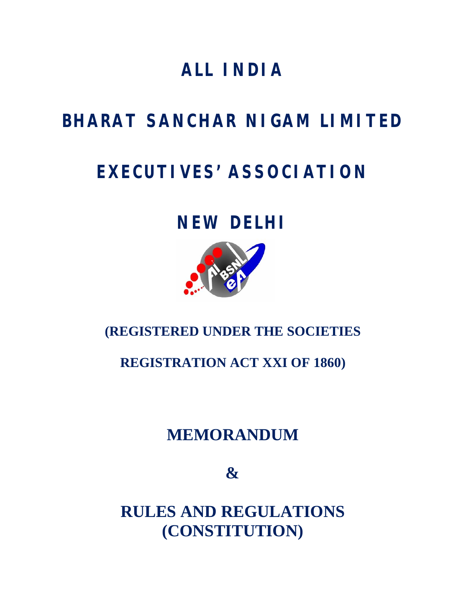# **ALL INDIA**

# **BHARAT SANCHAR NIGAM LIMITED**

# **EXECUTIVES' ASSOCIATION**

# **NEW DELHI**



## **(REGISTERED UNDER THE SOCIETIES**

## **REGISTRATION ACT XXI OF 1860)**

## **MEMORANDUM**

**&**

**RULES AND REGULATIONS (CONSTITUTION)**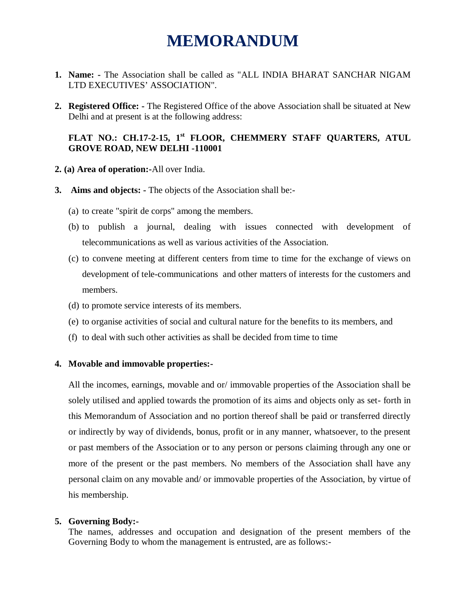## **MEMORANDUM**

- **1. Name: -** The Association shall be called as "ALL INDIA BHARAT SANCHAR NIGAM LTD EXECUTIVES' ASSOCIATION".
- **2. Registered Office: -** The Registered Office of the above Association shall be situated at New Delhi and at present is at the following address:

## **FLAT NO.: CH.17-2-15, 1st FLOOR, CHEMMERY STAFF QUARTERS, ATUL GROVE ROAD, NEW DELHI -110001**

- **2. (a) Area of operation:-**All over India.
- **3. Aims and objects: -** The objects of the Association shall be:-
	- (a) to create "spirit de corps" among the members.
	- (b) to publish a journal, dealing with issues connected with development of telecommunications as well as various activities of the Association.
	- (c) to convene meeting at different centers from time to time for the exchange of views on development of tele-communications and other matters of interests for the customers and members.
	- (d) to promote service interests of its members.
	- (e) to organise activities of social and cultural nature for the benefits to its members, and
	- (f) to deal with such other activities as shall be decided from time to time

#### **4. Movable and immovable properties:-**

All the incomes, earnings, movable and or/ immovable properties of the Association shall be solely utilised and applied towards the promotion of its aims and objects only as set- forth in this Memorandum of Association and no portion thereof shall be paid or transferred directly or indirectly by way of dividends, bonus, profit or in any manner, whatsoever, to the present or past members of the Association or to any person or persons claiming through any one or more of the present or the past members. No members of the Association shall have any personal claim on any movable and/ or immovable properties of the Association, by virtue of his membership.

#### **5. Governing Body:-**

The names, addresses and occupation and designation of the present members of the Governing Body to whom the management is entrusted, are as follows:-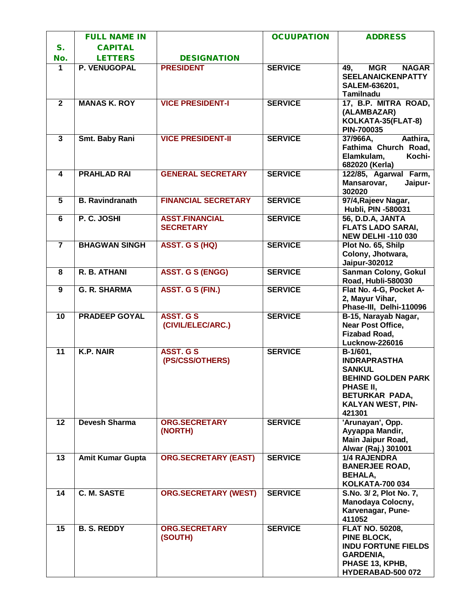|                         | <b>FULL NAME IN</b>     |                                           | <b>OCUUPATION</b> | <b>ADDRESS</b>                                                                                                                                                         |
|-------------------------|-------------------------|-------------------------------------------|-------------------|------------------------------------------------------------------------------------------------------------------------------------------------------------------------|
| $S_{1}$                 | <b>CAPITAL</b>          |                                           |                   |                                                                                                                                                                        |
| No.                     | <b>LETTERS</b>          | <b>DESIGNATION</b>                        |                   |                                                                                                                                                                        |
| 1                       | <b>P. VENUGOPAL</b>     | <b>PRESIDENT</b>                          | <b>SERVICE</b>    | <b>MGR</b><br><b>NAGAR</b><br>49,<br><b>SEELANAICKENPATTY</b><br>SALEM-636201,<br><b>Tamilnadu</b>                                                                     |
| $\overline{2}$          | <b>MANAS K. ROY</b>     | <b>VICE PRESIDENT-I</b>                   | <b>SERVICE</b>    | 17, B.P. MITRA ROAD,<br>(ALAMBAZAR)<br>KOLKATA-35(FLAT-8)<br>PIN-700035                                                                                                |
| $\overline{\mathbf{3}}$ | Smt. Baby Rani          | <b>VICE PRESIDENT-II</b>                  | <b>SERVICE</b>    | 37/966A,<br>Aathira,<br>Fathima Church Road,<br>Elamkulam,<br>Kochi-<br>682020 (Kerla)                                                                                 |
| $\overline{\mathbf{4}}$ | <b>PRAHLAD RAI</b>      | <b>GENERAL SECRETARY</b>                  | <b>SERVICE</b>    | 122/85, Agarwal Farm,<br>Mansarovar,<br>Jaipur-<br>302020                                                                                                              |
| $\overline{\mathbf{5}}$ | <b>B.</b> Ravindranath  | <b>FINANCIAL SECRETARY</b>                | <b>SERVICE</b>    | 97/4, Rajeev Nagar,<br>Hubli, PIN -580031                                                                                                                              |
| 6                       | P. C. JOSHI             | <b>ASST.FINANCIAL</b><br><b>SECRETARY</b> | <b>SERVICE</b>    | 56, D.D.A, JANTA<br><b>FLATS LADO SARAI,</b><br><b>NEW DELHI-110 030</b>                                                                                               |
| $\overline{\mathbf{7}}$ | <b>BHAGWAN SINGH</b>    | <b>ASST. G S (HQ)</b>                     | <b>SERVICE</b>    | Plot No. 65, Shilp<br>Colony, Jhotwara,<br>Jaipur-302012                                                                                                               |
| $\overline{\mathbf{8}}$ | R. B. ATHANI            | <b>ASST. G S (ENGG)</b>                   | <b>SERVICE</b>    | <b>Sanman Colony, Gokul</b><br>Road, Hubli-580030                                                                                                                      |
| 9                       | <b>G. R. SHARMA</b>     | ASST. G S (FIN.)                          | <b>SERVICE</b>    | Flat No. 4-G, Pocket A-<br>2, Mayur Vihar,<br>Phase-III, Delhi-110096                                                                                                  |
| $\overline{10}$         | <b>PRADEEP GOYAL</b>    | <b>ASST. G S</b><br>(CIVIL/ELEC/ARC.)     | <b>SERVICE</b>    | B-15, Narayab Nagar,<br><b>Near Post Office,</b><br><b>Fizabad Road,</b><br><b>Lucknow-226016</b>                                                                      |
| 11                      | <b>K.P. NAIR</b>        | <b>ASST. G S</b><br>(PS/CSS/OTHERS)       | <b>SERVICE</b>    | $\overline{B-1/60}1,$<br><b>INDRAPRASTHA</b><br><b>SANKUL</b><br><b>BEHIND GOLDEN PARK</b><br>PHASE II,<br><b>BETURKAR PADA,</b><br><b>KALYAN WEST, PIN-</b><br>421301 |
| 12                      | <b>Devesh Sharma</b>    | <b>ORG.SECRETARY</b><br>(NORTH)           | <b>SERVICE</b>    | 'Arunayan', Opp.<br>Ayyappa Mandir,<br>Main Jaipur Road,<br>Alwar (Raj.) 301001                                                                                        |
| 13                      | <b>Amit Kumar Gupta</b> | <b>ORG.SECRETARY (EAST)</b>               | <b>SERVICE</b>    | <b>1/4 RAJENDRA</b><br><b>BANERJEE ROAD,</b><br><b>BEHALA,</b><br><b>KOLKATA-700 034</b>                                                                               |
| 14                      | C. M. SASTE             | <b>ORG.SECRETARY (WEST)</b>               | <b>SERVICE</b>    | S.No. 3/2, Plot No. 7,<br>Manodaya Colocny,<br>Karvenagar, Pune-<br>411052                                                                                             |
| 15                      | <b>B. S. REDDY</b>      | <b>ORG.SECRETARY</b><br>(SOUTH)           | <b>SERVICE</b>    | <b>FLAT NO. 50208,</b><br>PINE BLOCK,<br><b>INDU FORTUNE FIELDS</b><br><b>GARDENIA,</b><br>PHASE 13, KPHB,<br>HYDERABAD-500 072                                        |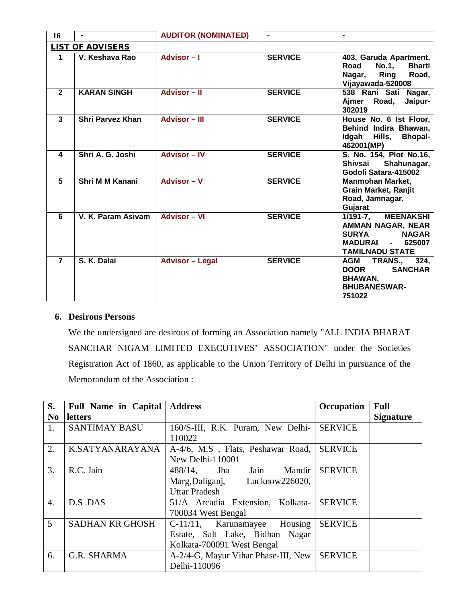| 16                      |                         | <b>AUDITOR (NOMINATED)</b> |                |                                                                                                                                  |
|-------------------------|-------------------------|----------------------------|----------------|----------------------------------------------------------------------------------------------------------------------------------|
| <b>LIST OF ADVISERS</b> |                         |                            |                |                                                                                                                                  |
| $\blacktriangleleft$    | V. Keshava Rao          | Advisor-I                  | <b>SERVICE</b> | 403, Garuda Apartment,<br><b>Bharti</b><br>Road<br><b>No.1,</b><br><b>Ring</b><br>Road,<br>Nagar,<br>Vijayawada-520008           |
| $\overline{2}$          | <b>KARAN SINGH</b>      | <b>Advisor - II</b>        | <b>SERVICE</b> | 538 Rani Sati Nagar,<br>Road,<br>Aimer<br>Jaipur-<br>302019                                                                      |
| $\mathbf{3}$            | <b>Shri Parvez Khan</b> | <b>Advisor – III</b>       | <b>SERVICE</b> | House No. 6 Ist Floor,<br>Behind Indira Bhawan,<br>Idgah Hills, Bhopal-<br>462001(MP)                                            |
| 4                       | Shri A. G. Joshi        | <b>Advisor - IV</b>        | <b>SERVICE</b> | S. No. 154, Plot No.16,<br>Shivsai<br>Shahunagar,<br>Godoli Satara-415002                                                        |
| 5                       | Shri M M Kanani         | Advisor - V                | <b>SERVICE</b> | <b>Manmohan Market,</b><br><b>Grain Market, Ranjit</b><br>Road, Jamnagar,<br>Gujarat                                             |
| 6                       | V. K. Param Asivam      | <b>Advisor - VI</b>        | <b>SERVICE</b> | 1/191-7, MEENAKSHI<br>AMMAN NAGAR, NEAR<br><b>SURYA</b><br><b>NAGAR</b><br><b>MADURAI</b><br>$-625007$<br><b>TAMILNADU STATE</b> |
| $\overline{7}$          | S. K. Dalai             | <b>Advisor - Legal</b>     | <b>SERVICE</b> | <b>TRANS., 324,</b><br>AGM<br><b>DOOR</b><br><b>SANCHAR</b><br><b>BHAWAN,</b><br><b>BHUBANESWAR-</b><br>751022                   |

## **6. Desirous Persons**

We the undersigned are desirous of forming an Association namely "ALL INDIA BHARAT SANCHAR NIGAM LIMITED EXECUTIVES' ASSOCIATION" under the Societies Registration Act of 1860, as applicable to the Union Territory of Delhi in pursuance of the Memorandum of the Association :

| S.               | <b>Full Name in Capital</b> | <b>Address</b>                      | Occupation     | <b>Full</b>      |
|------------------|-----------------------------|-------------------------------------|----------------|------------------|
| N <sub>0</sub>   | <b>letters</b>              |                                     |                | <b>Signature</b> |
| 1.               | <b>SANTIMAY BASU</b>        | 160/S-III, R.K. Puram, New Delhi-   | <b>SERVICE</b> |                  |
|                  |                             | 110022                              |                |                  |
| 2.               | K.SATYANARAYANA             | A-4/6, M.S., Flats, Peshawar Road,  | <b>SERVICE</b> |                  |
|                  |                             | New Delhi-110001                    |                |                  |
| $\mathfrak{Z}$ . | R.C. Jain                   | Jain<br>Mandir<br>$488/14$ , Jha    | <b>SERVICE</b> |                  |
|                  |                             | Marg, Daliganj, Lucknow 226020,     |                |                  |
|                  |                             | <b>Uttar Pradesh</b>                |                |                  |
| $\overline{4}$ . | D.S.DAS                     | 51/A Arcadia Extension, Kolkata-    | <b>SERVICE</b> |                  |
|                  |                             | 700034 West Bengal                  |                |                  |
| $\mathfrak{S}$   | <b>SADHAN KR GHOSH</b>      | C-11/11, Karunamayee Housing        | <b>SERVICE</b> |                  |
|                  |                             | Estate, Salt Lake, Bidhan Nagar     |                |                  |
|                  |                             | Kolkata-700091 West Bengal          |                |                  |
| 6.               | G.R. SHARMA                 | A-2/4-G, Mayur Vihar Phase-III, New | <b>SERVICE</b> |                  |
|                  |                             | Delhi-110096                        |                |                  |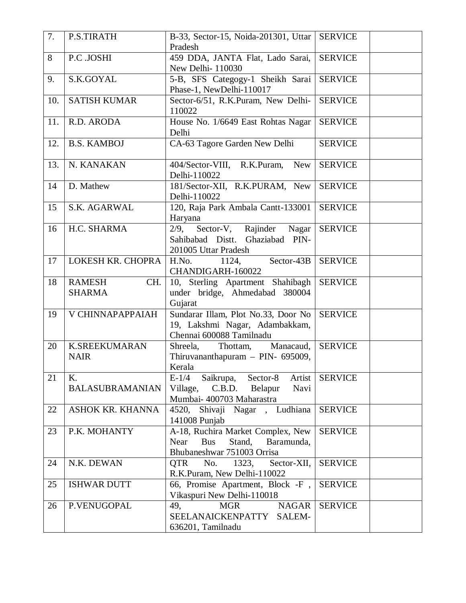| 7.  | P.S.TIRATH                            | B-33, Sector-15, Noida-201301, Uttar<br>Pradesh                                                               | <b>SERVICE</b> |
|-----|---------------------------------------|---------------------------------------------------------------------------------------------------------------|----------------|
| 8   | P.C .JOSHI                            | 459 DDA, JANTA Flat, Lado Sarai,<br>New Delhi- 110030                                                         | <b>SERVICE</b> |
| 9.  | S.K.GOYAL                             | 5-B, SFS Categogy-1 Sheikh Sarai<br>Phase-1, NewDelhi-110017                                                  | <b>SERVICE</b> |
| 10. | <b>SATISH KUMAR</b>                   | Sector-6/51, R.K.Puram, New Delhi-<br>110022                                                                  | <b>SERVICE</b> |
| 11. | R.D. ARODA                            | House No. 1/6649 East Rohtas Nagar<br>Delhi                                                                   | <b>SERVICE</b> |
| 12. | <b>B.S. KAMBOJ</b>                    | CA-63 Tagore Garden New Delhi                                                                                 | <b>SERVICE</b> |
| 13. | N. KANAKAN                            | 404/Sector-VIII, R.K.Puram,<br><b>New</b><br>Delhi-110022                                                     | <b>SERVICE</b> |
| 14  | D. Mathew                             | 181/Sector-XII, R.K.PURAM, New<br>Delhi-110022                                                                | <b>SERVICE</b> |
| 15  | S.K. AGARWAL                          | 120, Raja Park Ambala Cantt-133001<br>Haryana                                                                 | <b>SERVICE</b> |
| 16  | H.C. SHARMA                           | 2/9, Sector-V, Rajinder Nagar<br>Sahibabad Distt.<br>Ghaziabad PIN-<br>201005 Uttar Pradesh                   | <b>SERVICE</b> |
| 17  | LOKESH KR. CHOPRA                     | H.No.<br>Sector-43B<br>1124,<br>CHANDIGARH-160022                                                             | <b>SERVICE</b> |
| 18  | <b>RAMESH</b><br>CH.<br><b>SHARMA</b> | 10, Sterling Apartment Shahibagh<br>under bridge, Ahmedabad 380004<br>Gujarat                                 | <b>SERVICE</b> |
| 19  | V CHINNAPAPPAIAH                      | Sundarar Illam, Plot No.33, Door No<br>19, Lakshmi Nagar, Adambakkam,<br>Chennai 600088 Tamilnadu             | <b>SERVICE</b> |
| 20  | <b>K.SREEKUMARAN</b><br><b>NAIR</b>   | Shreela, Thottam,<br>Manacaud,<br>Thiruvananthapuram - PIN- 695009,<br>Kerala                                 | <b>SERVICE</b> |
| 21  | K.<br><b>BALASUBRAMANIAN</b>          | Saikrupa, Sector-8<br>$E-1/4$<br>Artist<br>Village, C.B.D. Belapur<br>Navi<br>Mumbai- 400703 Maharastra       | <b>SERVICE</b> |
| 22  | <b>ASHOK KR. KHANNA</b>               | 4520, Shivaji Nagar, Ludhiana<br>141008 Punjab                                                                | <b>SERVICE</b> |
| 23  | P.K. MOHANTY                          | A-18, Ruchira Market Complex, New<br><b>Bus</b><br>Stand,<br>Near<br>Baramunda,<br>Bhubaneshwar 751003 Orrisa | <b>SERVICE</b> |
| 24  | N.K. DEWAN                            | No.<br>1323,<br>Sector-XII,<br><b>QTR</b><br>R.K.Puram, New Delhi-110022                                      | <b>SERVICE</b> |
| 25  | <b>ISHWAR DUTT</b>                    | 66, Promise Apartment, Block -F,<br>Vikaspuri New Delhi-110018                                                | <b>SERVICE</b> |
| 26  | P.VENUGOPAL                           | <b>NAGAR</b><br><b>MGR</b><br>49,<br>SEELANAICKENPATTY SALEM-<br>636201, Tamilnadu                            | <b>SERVICE</b> |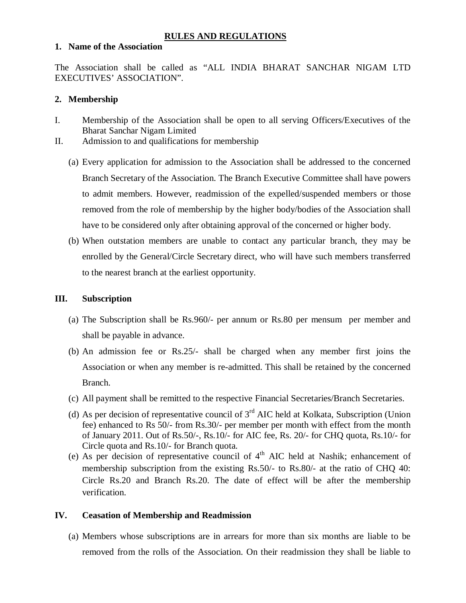## **RULES AND REGULATIONS**

### **1. Name of the Association**

The Association shall be called as "ALL INDIA BHARAT SANCHAR NIGAM LTD EXECUTIVES' ASSOCIATION".

#### **2. Membership**

- I. Membership of the Association shall be open to all serving Officers/Executives of the Bharat Sanchar Nigam Limited
- II. Admission to and qualifications for membership
	- (a) Every application for admission to the Association shall be addressed to the concerned Branch Secretary of the Association. The Branch Executive Committee shall have powers to admit members. However, readmission of the expelled/suspended members or those removed from the role of membership by the higher body/bodies of the Association shall have to be considered only after obtaining approval of the concerned or higher body.
	- (b) When outstation members are unable to contact any particular branch, they may be enrolled by the General/Circle Secretary direct, who will have such members transferred to the nearest branch at the earliest opportunity.

#### **III. Subscription**

- (a) The Subscription shall be Rs.960/- per annum or Rs.80 per mensum per member and shall be payable in advance.
- (b) An admission fee or Rs.25/- shall be charged when any member first joins the Association or when any member is re-admitted. This shall be retained by the concerned Branch.
- (c) All payment shall be remitted to the respective Financial Secretaries/Branch Secretaries.
- (d) As per decision of representative council of  $3<sup>rd</sup>$  AIC held at Kolkata, Subscription (Union fee) enhanced to Rs 50/- from Rs.30/- per member per month with effect from the month of January 2011. Out of Rs.50/-, Rs.10/- for AIC fee, Rs. 20/- for CHQ quota, Rs.10/- for Circle quota and Rs.10/- for Branch quota.
- (e) As per decision of representative council of  $4<sup>th</sup>$  AIC held at Nashik; enhancement of membership subscription from the existing Rs.50/- to Rs.80/- at the ratio of CHQ 40: Circle Rs.20 and Branch Rs.20. The date of effect will be after the membership verification.

### **IV. Ceasation of Membership and Readmission**

(a) Members whose subscriptions are in arrears for more than six months are liable to be removed from the rolls of the Association. On their readmission they shall be liable to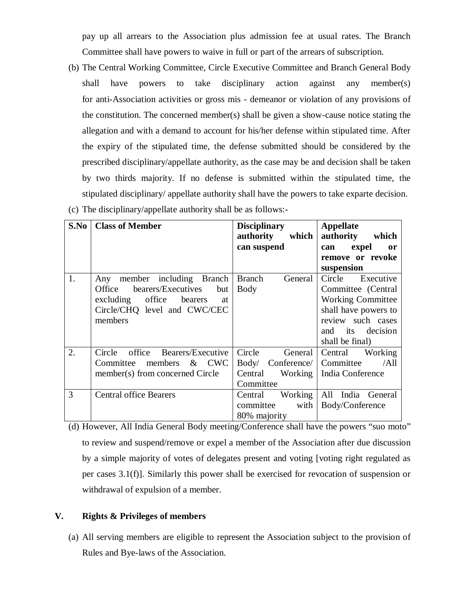pay up all arrears to the Association plus admission fee at usual rates. The Branch Committee shall have powers to waive in full or part of the arrears of subscription.

(b) The Central Working Committee, Circle Executive Committee and Branch General Body shall have powers to take disciplinary action against any member(s) for anti-Association activities or gross mis - demeanor or violation of any provisions of the constitution. The concerned member(s) shall be given a show-cause notice stating the allegation and with a demand to account for his/her defense within stipulated time. After the expiry of the stipulated time, the defense submitted should be considered by the prescribed disciplinary/appellate authority, as the case may be and decision shall be taken by two thirds majority. If no defense is submitted within the stipulated time, the stipulated disciplinary/ appellate authority shall have the powers to take exparte decision.

| S.No | <b>Class of Member</b>              | <b>Disciplinary</b><br>authority<br>which | Appellate<br>authority<br>which |
|------|-------------------------------------|-------------------------------------------|---------------------------------|
|      |                                     | can suspend                               | expel<br>can<br><sub>or</sub>   |
|      |                                     |                                           | remove or revoke                |
|      |                                     |                                           | suspension                      |
| 1.   | member including<br>Branch<br>Any   | <b>Branch</b><br>General                  | Circle Executive                |
|      | bearers/Executives<br>Office<br>but | <b>Body</b>                               | Committee (Central              |
|      | excluding office<br>bearers<br>at   |                                           | <b>Working Committee</b>        |
|      | Circle/CHQ level and CWC/CEC        |                                           | shall have powers to            |
|      | members                             |                                           | review such cases               |
|      |                                     |                                           | and its decision                |
|      |                                     |                                           | shall be final)                 |
| 2.   | office Bearers/Executive<br>Circle  | Circle<br>General                         | Central<br>Working              |
|      | Committee members $\&$ CWC          | Body/ Conference/                         | /All<br>Committee               |
|      | member(s) from concerned Circle     | Working<br>Central                        | India Conference                |
|      |                                     | Committee                                 |                                 |
| 3    | <b>Central office Bearers</b>       | Working<br>Central                        | All India General               |
|      |                                     | committee<br>with                         | Body/Conference                 |
|      |                                     | 80% majority                              |                                 |

(c) The disciplinary/appellate authority shall be as follows:-

(d) However, All India General Body meeting/Conference shall have the powers "suo moto" to review and suspend/remove or expel a member of the Association after due discussion by a simple majority of votes of delegates present and voting [voting right regulated as per cases 3.1(f)]. Similarly this power shall be exercised for revocation of suspension or withdrawal of expulsion of a member.

## **V. Rights & Privileges of members**

(a) All serving members are eligible to represent the Association subject to the provision of Rules and Bye-laws of the Association.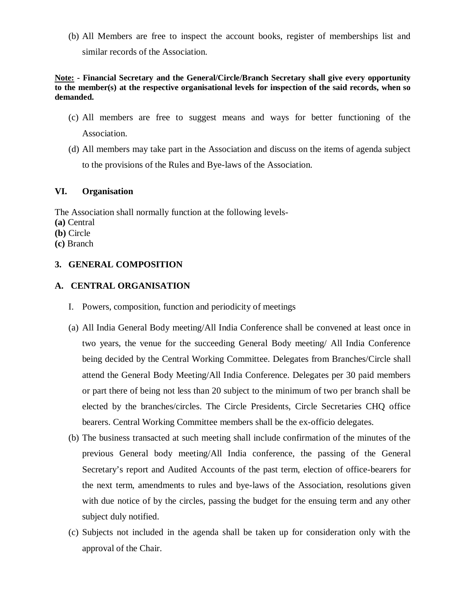(b) All Members are free to inspect the account books, register of memberships list and similar records of the Association.

**Note: - Financial Secretary and the General/Circle/Branch Secretary shall give every opportunity to the member(s) at the respective organisational levels for inspection of the said records, when so demanded.**

- (c) All members are free to suggest means and ways for better functioning of the Association.
- (d) All members may take part in the Association and discuss on the items of agenda subject to the provisions of the Rules and Bye-laws of the Association.

## **VI. Organisation**

The Association shall normally function at the following levels-

- **(a)** Central
- **(b)** Circle
- **(c)** Branch

## **3. GENERAL COMPOSITION**

## **A. CENTRAL ORGANISATION**

- I. Powers, composition, function and periodicity of meetings
- (a) All India General Body meeting/All India Conference shall be convened at least once in two years, the venue for the succeeding General Body meeting/ All India Conference being decided by the Central Working Committee. Delegates from Branches/Circle shall attend the General Body Meeting/All India Conference. Delegates per 30 paid members or part there of being not less than 20 subject to the minimum of two per branch shall be elected by the branches/circles. The Circle Presidents, Circle Secretaries CHQ office bearers. Central Working Committee members shall be the ex-officio delegates.
- (b) The business transacted at such meeting shall include confirmation of the minutes of the previous General body meeting/All India conference, the passing of the General Secretary's report and Audited Accounts of the past term, election of office-bearers for the next term, amendments to rules and bye-laws of the Association, resolutions given with due notice of by the circles, passing the budget for the ensuing term and any other subject duly notified.
- (c) Subjects not included in the agenda shall be taken up for consideration only with the approval of the Chair.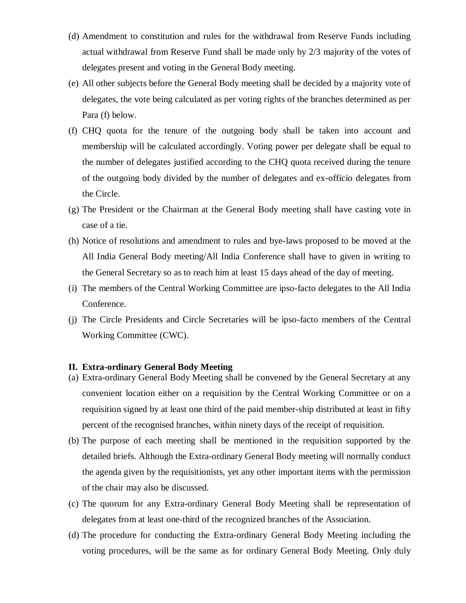- (d) Amendment to constitution and rules for the withdrawal from Reserve Funds including actual withdrawal from Reserve Fund shall be made only by 2/3 majority of the votes of delegates present and voting in the General Body meeting.
- (e) All other subjects before the General Body meeting shall be decided by a majority vote of delegates, the vote being calculated as per voting rights of the branches determined as per Para (f) below.
- (f) CHQ quota for the tenure of the outgoing body shall be taken into account and membership will be calculated accordingly. Voting power per delegate shall be equal to the number of delegates justified according to the CHQ quota received during the tenure of the outgoing body divided by the number of delegates and ex-officio delegates from the Circle.
- (g) The President or the Chairman at the General Body meeting shall have casting vote in case of a tie.
- (h) Notice of resolutions and amendment to rules and bye-laws proposed to be moved at the All India General Body meeting/All India Conference shall have to given in writing to the General Secretary so as to reach him at least 15 days ahead of the day of meeting.
- (i) The members of the Central Working Committee are ipso-facto delegates to the All India Conference.
- (j) The Circle Presidents and Circle Secretaries will be ipso-facto members of the Central Working Committee (CWC).

#### **II. Extra-ordinary General Body Meeting**

- (a) Extra-ordinary General Body Meeting shall be convened by the General Secretary at any convenient location either on a requisition by the Central Working Committee or on a requisition signed by at least one third of the paid member-ship distributed at least in fifty percent of the recognised branches, within ninety days of the receipt of requisition.
- (b) The purpose of each meeting shall be mentioned in the requisition supported by the detailed briefs. Although the Extra-ordinary General Body meeting will normally conduct the agenda given by the requisitionists, yet any other important items with the permission of the chair may also be discussed.
- (c) The quorum for any Extra-ordinary General Body Meeting shall be representation of delegates from at least one-third of the recognized branches of the Association.
- (d) The procedure for conducting the Extra-ordinary General Body Meeting including the voting procedures, will be the same as for ordinary General Body Meeting. Only duly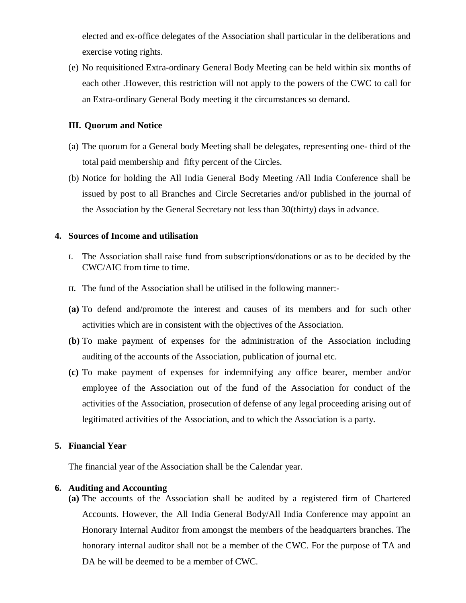elected and ex-office delegates of the Association shall particular in the deliberations and exercise voting rights.

(e) No requisitioned Extra-ordinary General Body Meeting can be held within six months of each other .However, this restriction will not apply to the powers of the CWC to call for an Extra-ordinary General Body meeting it the circumstances so demand.

## **III. Quorum and Notice**

- (a) The quorum for a General body Meeting shall be delegates, representing one- third of the total paid membership and fifty percent of the Circles.
- (b) Notice for holding the All India General Body Meeting /All India Conference shall be issued by post to all Branches and Circle Secretaries and/or published in the journal of the Association by the General Secretary not less than 30(thirty) days in advance.

## **4. Sources of Income and utilisation**

- **I.** The Association shall raise fund from subscriptions/donations or as to be decided by the CWC/AIC from time to time.
- **II.** The fund of the Association shall be utilised in the following manner:-
- **(a)** To defend and/promote the interest and causes of its members and for such other activities which are in consistent with the objectives of the Association.
- **(b)** To make payment of expenses for the administration of the Association including auditing of the accounts of the Association, publication of journal etc.
- **(c)** To make payment of expenses for indemnifying any office bearer, member and/or employee of the Association out of the fund of the Association for conduct of the activities of the Association, prosecution of defense of any legal proceeding arising out of legitimated activities of the Association, and to which the Association is a party.

## **5. Financial Year**

The financial year of the Association shall be the Calendar year.

## **6. Auditing and Accounting**

**(a)** The accounts of the Association shall be audited by a registered firm of Chartered Accounts. However, the All India General Body/All India Conference may appoint an Honorary Internal Auditor from amongst the members of the headquarters branches. The honorary internal auditor shall not be a member of the CWC. For the purpose of TA and DA he will be deemed to be a member of CWC.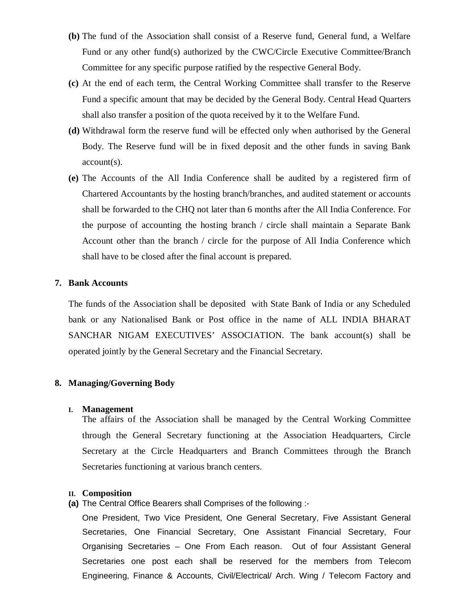- **(b)** The fund of the Association shall consist of a Reserve fund, General fund, a Welfare Fund or any other fund(s) authorized by the CWC/Circle Executive Committee/Branch Committee for any specific purpose ratified by the respective General Body.
- **(c)** At the end of each term, the Central Working Committee shall transfer to the Reserve Fund a specific amount that may be decided by the General Body. Central Head Quarters shall also transfer a position of the quota received by it to the Welfare Fund.
- **(d)** Withdrawal form the reserve fund will be effected only when authorised by the General Body. The Reserve fund will be in fixed deposit and the other funds in saving Bank account(s).
- **(e)** The Accounts of the All India Conference shall be audited by a registered firm of Chartered Accountants by the hosting branch/branches, and audited statement or accounts shall be forwarded to the CHQ not later than 6 months after the All India Conference. For the purpose of accounting the hosting branch / circle shall maintain a Separate Bank Account other than the branch / circle for the purpose of All India Conference which shall have to be closed after the final account is prepared.

#### **7. Bank Accounts**

The funds of the Association shall be deposited with State Bank of India or any Scheduled bank or any Nationalised Bank or Post office in the name of ALL INDIA BHARAT SANCHAR NIGAM EXECUTIVES' ASSOCIATION. The bank account(s) shall be operated jointly by the General Secretary and the Financial Secretary.

#### **8. Managing/Governing Body**

#### **I. Management**

The affairs of the Association shall be managed by the Central Working Committee through the General Secretary functioning at the Association Headquarters, Circle Secretary at the Circle Headquarters and Branch Committees through the Branch Secretaries functioning at various branch centers.

#### **II. Composition**

**(a)** The Central Office Bearers shall Comprises of the following :-

One President, Two Vice President, One General Secretary, Five Assistant General Secretaries, One Financial Secretary, One Assistant Financial Secretary, Four Organising Secretaries – One From Each reason. Out of four Assistant General Secretaries one post each shall be reserved for the members from Telecom Engineering, Finance & Accounts, Civil/Electrical/ Arch. Wing / Telecom Factory and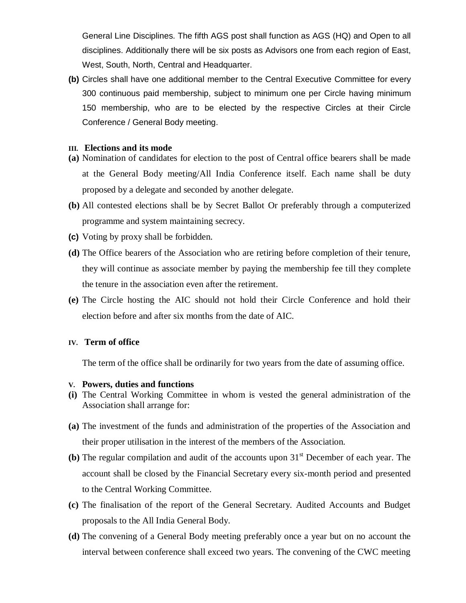General Line Disciplines. The fifth AGS post shall function as AGS (HQ) and Open to all disciplines. Additionally there will be six posts as Advisors one from each region of East, West, South, North, Central and Headquarter.

**(b)** Circles shall have one additional member to the Central Executive Committee for every 300 continuous paid membership, subject to minimum one per Circle having minimum 150 membership, who are to be elected by the respective Circles at their Circle Conference / General Body meeting.

#### **III. Elections and its mode**

- **(a)** Nomination of candidates for election to the post of Central office bearers shall be made at the General Body meeting/All India Conference itself. Each name shall be duty proposed by a delegate and seconded by another delegate.
- **(b)** All contested elections shall be by Secret Ballot Or preferably through a computerized programme and system maintaining secrecy.
- **(c)** Voting by proxy shall be forbidden.
- **(d)** The Office bearers of the Association who are retiring before completion of their tenure, they will continue as associate member by paying the membership fee till they complete the tenure in the association even after the retirement.
- **(e)** The Circle hosting the AIC should not hold their Circle Conference and hold their election before and after six months from the date of AIC.

#### **IV. Term of office**

The term of the office shall be ordinarily for two years from the date of assuming office.

#### **V. Powers, duties and functions**

- **(i)** The Central Working Committee in whom is vested the general administration of the Association shall arrange for:
- **(a)** The investment of the funds and administration of the properties of the Association and their proper utilisation in the interest of the members of the Association.
- **(b)** The regular compilation and audit of the accounts upon  $31<sup>st</sup>$  December of each year. The account shall be closed by the Financial Secretary every six-month period and presented to the Central Working Committee.
- **(c)** The finalisation of the report of the General Secretary. Audited Accounts and Budget proposals to the All India General Body.
- **(d)** The convening of a General Body meeting preferably once a year but on no account the interval between conference shall exceed two years. The convening of the CWC meeting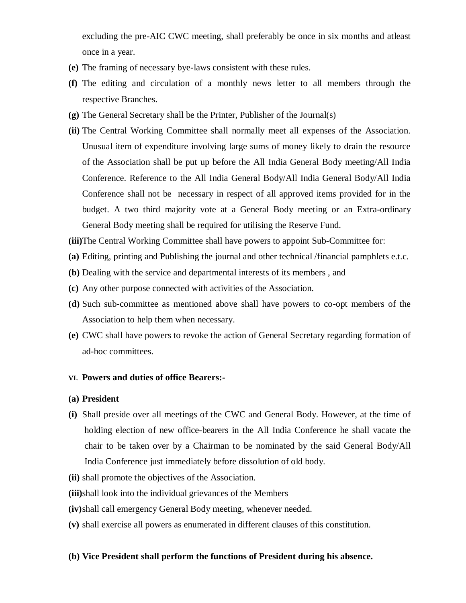excluding the pre-AIC CWC meeting, shall preferably be once in six months and atleast once in a year.

- **(e)** The framing of necessary bye-laws consistent with these rules.
- **(f)** The editing and circulation of a monthly news letter to all members through the respective Branches.
- **(g)** The General Secretary shall be the Printer, Publisher of the Journal(s)
- **(ii)** The Central Working Committee shall normally meet all expenses of the Association. Unusual item of expenditure involving large sums of money likely to drain the resource of the Association shall be put up before the All India General Body meeting/All India Conference. Reference to the All India General Body/All India General Body/All India Conference shall not be necessary in respect of all approved items provided for in the budget. A two third majority vote at a General Body meeting or an Extra-ordinary General Body meeting shall be required for utilising the Reserve Fund.
- **(iii)**The Central Working Committee shall have powers to appoint Sub-Committee for:
- **(a)** Editing, printing and Publishing the journal and other technical /financial pamphlets e.t.c.
- **(b)** Dealing with the service and departmental interests of its members , and
- **(c)** Any other purpose connected with activities of the Association.
- **(d)** Such sub-committee as mentioned above shall have powers to co-opt members of the Association to help them when necessary.
- **(e)** CWC shall have powers to revoke the action of General Secretary regarding formation of ad-hoc committees.

#### **VI. Powers and duties of office Bearers:-**

#### **(a) President**

**(i)** Shall preside over all meetings of the CWC and General Body. However, at the time of holding election of new office-bearers in the All India Conference he shall vacate the chair to be taken over by a Chairman to be nominated by the said General Body/All India Conference just immediately before dissolution of old body.

**(ii)** shall promote the objectives of the Association.

- **(iii)**shall look into the individual grievances of the Members
- **(iv)**shall call emergency General Body meeting, whenever needed.
- **(v)** shall exercise all powers as enumerated in different clauses of this constitution.

## **(b) Vice President shall perform the functions of President during his absence.**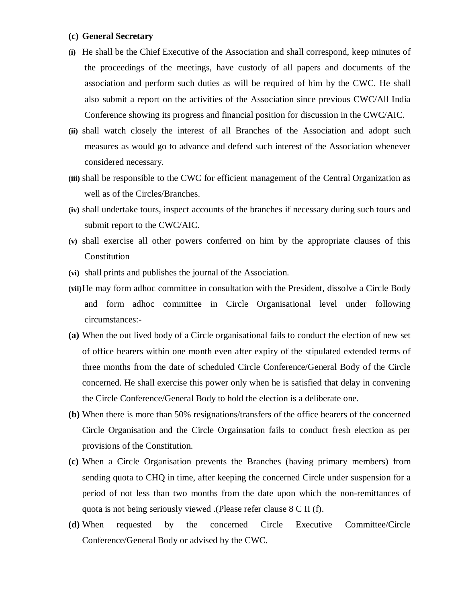#### **(c) General Secretary**

- **(i)** He shall be the Chief Executive of the Association and shall correspond, keep minutes of the proceedings of the meetings, have custody of all papers and documents of the association and perform such duties as will be required of him by the CWC. He shall also submit a report on the activities of the Association since previous CWC/All India Conference showing its progress and financial position for discussion in the CWC/AIC.
- **(ii)** shall watch closely the interest of all Branches of the Association and adopt such measures as would go to advance and defend such interest of the Association whenever considered necessary.
- **(iii)** shall be responsible to the CWC for efficient management of the Central Organization as well as of the Circles/Branches.
- **(iv)** shall undertake tours, inspect accounts of the branches if necessary during such tours and submit report to the CWC/AIC.
- **(v)** shall exercise all other powers conferred on him by the appropriate clauses of this Constitution
- **(vi)** shall prints and publishes the journal of the Association.
- **(vii)**He may form adhoc committee in consultation with the President, dissolve a Circle Body and form adhoc committee in Circle Organisational level under following circumstances:-
- **(a)** When the out lived body of a Circle organisational fails to conduct the election of new set of office bearers within one month even after expiry of the stipulated extended terms of three months from the date of scheduled Circle Conference/General Body of the Circle concerned. He shall exercise this power only when he is satisfied that delay in convening the Circle Conference/General Body to hold the election is a deliberate one.
- **(b)** When there is more than 50% resignations/transfers of the office bearers of the concerned Circle Organisation and the Circle Orgainsation fails to conduct fresh election as per provisions of the Constitution.
- **(c)** When a Circle Organisation prevents the Branches (having primary members) from sending quota to CHQ in time, after keeping the concerned Circle under suspension for a period of not less than two months from the date upon which the non-remittances of quota is not being seriously viewed .(Please refer clause 8 C II (f).
- **(d)** When requested by the concerned Circle Executive Committee/Circle Conference/General Body or advised by the CWC.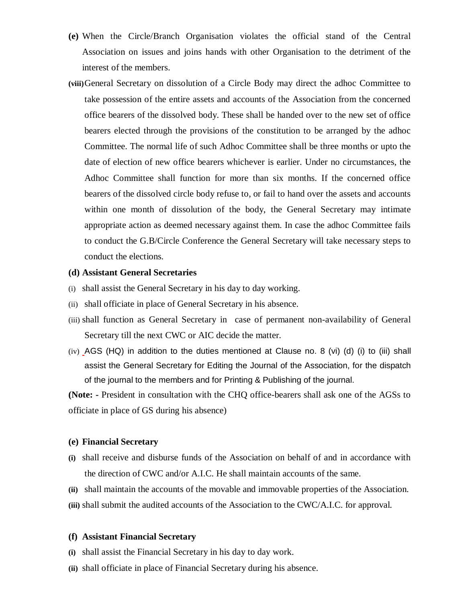- **(e)** When the Circle/Branch Organisation violates the official stand of the Central Association on issues and joins hands with other Organisation to the detriment of the interest of the members.
- **(viii)**General Secretary on dissolution of a Circle Body may direct the adhoc Committee to take possession of the entire assets and accounts of the Association from the concerned office bearers of the dissolved body. These shall be handed over to the new set of office bearers elected through the provisions of the constitution to be arranged by the adhoc Committee. The normal life of such Adhoc Committee shall be three months or upto the date of election of new office bearers whichever is earlier. Under no circumstances, the Adhoc Committee shall function for more than six months. If the concerned office bearers of the dissolved circle body refuse to, or fail to hand over the assets and accounts within one month of dissolution of the body, the General Secretary may intimate appropriate action as deemed necessary against them. In case the adhoc Committee fails to conduct the G.B/Circle Conference the General Secretary will take necessary steps to conduct the elections.

#### **(d) Assistant General Secretaries**

- (i) shall assist the General Secretary in his day to day working.
- (ii) shall officiate in place of General Secretary in his absence.
- (iii) shall function as General Secretary in case of permanent non-availability of General Secretary till the next CWC or AIC decide the matter.
- $(iv)$  AGS (HQ) in addition to the duties mentioned at Clause no. 8 (vi) (d) (i) to (iii) shall assist the General Secretary for Editing the Journal of the Association, for the dispatch of the journal to the members and for Printing & Publishing of the journal.

**(Note: -** President in consultation with the CHQ office-bearers shall ask one of the AGSs to officiate in place of GS during his absence)

#### **(e) Financial Secretary**

- **(i)** shall receive and disburse funds of the Association on behalf of and in accordance with the direction of CWC and/or A.I.C. He shall maintain accounts of the same.
- **(ii)** shall maintain the accounts of the movable and immovable properties of the Association.
- **(iii)** shall submit the audited accounts of the Association to the CWC/A.I.C. for approval.

#### **(f) Assistant Financial Secretary**

- **(i)** shall assist the Financial Secretary in his day to day work.
- **(ii)** shall officiate in place of Financial Secretary during his absence.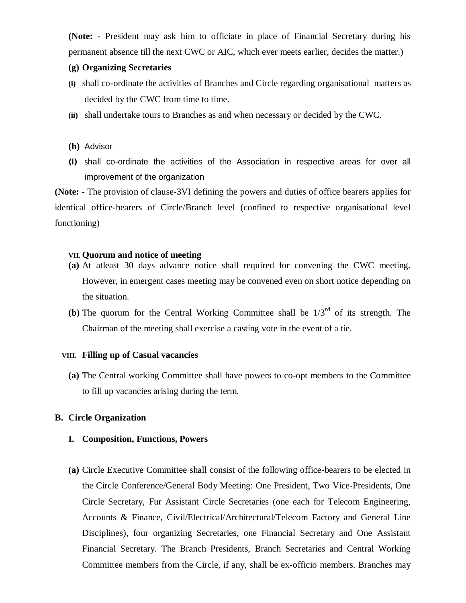**(Note: -** President may ask him to officiate in place of Financial Secretary during his permanent absence till the next CWC or AIC, which ever meets earlier, decides the matter.)

## **(g) Organizing Secretaries**

- **(i)** shall co-ordinate the activities of Branches and Circle regarding organisational matters as decided by the CWC from time to time.
- **(ii)** shall undertake tours to Branches as and when necessary or decided by the CWC.
- **(h)** Advisor
- **(i)** shall co-ordinate the activities of the Association in respective areas for over all improvement of the organization

**(Note: -** The provision of clause-3VI defining the powers and duties of office bearers applies for identical office-bearers of Circle/Branch level (confined to respective organisational level functioning)

## **VII. Quorum and notice of meeting**

- **(a)** At atleast 30 days advance notice shall required for convening the CWC meeting. However, in emergent cases meeting may be convened even on short notice depending on the situation.
- **(b)** The quorum for the Central Working Committee shall be  $1/3<sup>rd</sup>$  of its strength. The Chairman of the meeting shall exercise a casting vote in the event of a tie.

#### **VIII. Filling up of Casual vacancies**

**(a)** The Central working Committee shall have powers to co-opt members to the Committee to fill up vacancies arising during the term.

#### **B. Circle Organization**

#### **I. Composition, Functions, Powers**

**(a)** Circle Executive Committee shall consist of the following office-bearers to be elected in the Circle Conference/General Body Meeting: One President, Two Vice-Presidents, One Circle Secretary, Fur Assistant Circle Secretaries (one each for Telecom Engineering, Accounts & Finance, Civil/Electrical/Architectural/Telecom Factory and General Line Disciplines), four organizing Secretaries, one Financial Secretary and One Assistant Financial Secretary. The Branch Presidents, Branch Secretaries and Central Working Committee members from the Circle, if any, shall be ex-officio members. Branches may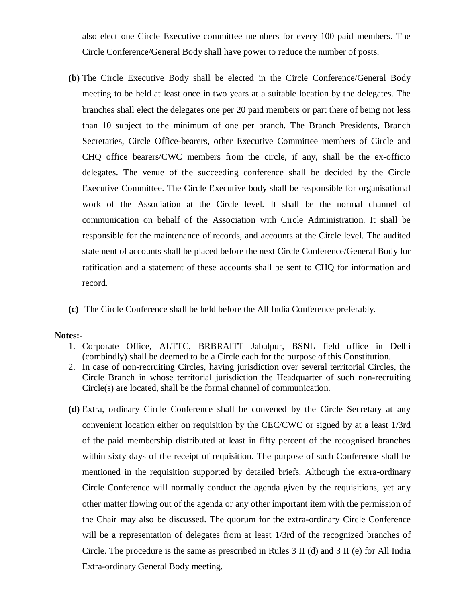also elect one Circle Executive committee members for every 100 paid members. The Circle Conference/General Body shall have power to reduce the number of posts.

- **(b)** The Circle Executive Body shall be elected in the Circle Conference/General Body meeting to be held at least once in two years at a suitable location by the delegates. The branches shall elect the delegates one per 20 paid members or part there of being not less than 10 subject to the minimum of one per branch. The Branch Presidents, Branch Secretaries, Circle Office-bearers, other Executive Committee members of Circle and CHQ office bearers/CWC members from the circle, if any, shall be the ex-officio delegates. The venue of the succeeding conference shall be decided by the Circle Executive Committee. The Circle Executive body shall be responsible for organisational work of the Association at the Circle level. It shall be the normal channel of communication on behalf of the Association with Circle Administration. It shall be responsible for the maintenance of records, and accounts at the Circle level. The audited statement of accounts shall be placed before the next Circle Conference/General Body for ratification and a statement of these accounts shall be sent to CHQ for information and record.
- **(c)** The Circle Conference shall be held before the All India Conference preferably.

#### **Notes:-**

- 1. Corporate Office, ALTTC, BRBRAITT Jabalpur, BSNL field office in Delhi (combindly) shall be deemed to be a Circle each for the purpose of this Constitution.
- 2. In case of non-recruiting Circles, having jurisdiction over several territorial Circles, the Circle Branch in whose territorial jurisdiction the Headquarter of such non-recruiting Circle(s) are located, shall be the formal channel of communication.
- **(d)** Extra, ordinary Circle Conference shall be convened by the Circle Secretary at any convenient location either on requisition by the CEC/CWC or signed by at a least 1/3rd of the paid membership distributed at least in fifty percent of the recognised branches within sixty days of the receipt of requisition. The purpose of such Conference shall be mentioned in the requisition supported by detailed briefs. Although the extra-ordinary Circle Conference will normally conduct the agenda given by the requisitions, yet any other matter flowing out of the agenda or any other important item with the permission of the Chair may also be discussed. The quorum for the extra-ordinary Circle Conference will be a representation of delegates from at least 1/3rd of the recognized branches of Circle. The procedure is the same as prescribed in Rules 3 II (d) and 3 II (e) for All India Extra-ordinary General Body meeting.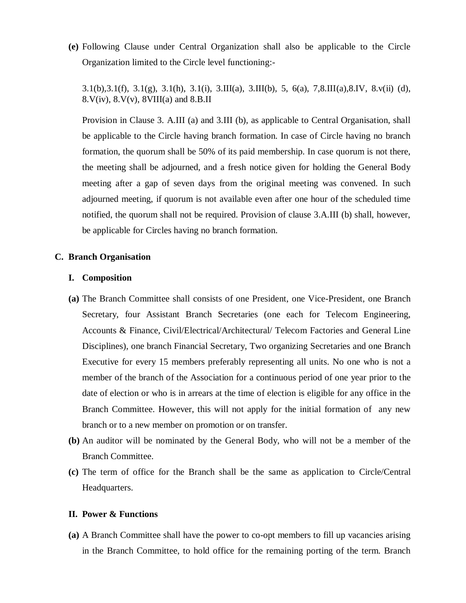**(e)** Following Clause under Central Organization shall also be applicable to the Circle Organization limited to the Circle level functioning:-

3.1(b),3.1(f), 3.1(g), 3.1(h), 3.1(i), 3.III(a), 3.III(b), 5, 6(a), 7,8.III(a),8.IV, 8.v(ii) (d),  $8.V(iv)$ ,  $8.V(v)$ ,  $8VIII(a)$  and  $8.B.II$ 

Provision in Clause 3. A.III (a) and 3.III (b), as applicable to Central Organisation, shall be applicable to the Circle having branch formation. In case of Circle having no branch formation, the quorum shall be 50% of its paid membership. In case quorum is not there, the meeting shall be adjourned, and a fresh notice given for holding the General Body meeting after a gap of seven days from the original meeting was convened. In such adjourned meeting, if quorum is not available even after one hour of the scheduled time notified, the quorum shall not be required. Provision of clause 3.A.III (b) shall, however, be applicable for Circles having no branch formation.

#### **C. Branch Organisation**

#### **I. Composition**

- **(a)** The Branch Committee shall consists of one President, one Vice-President, one Branch Secretary, four Assistant Branch Secretaries (one each for Telecom Engineering, Accounts & Finance, Civil/Electrical/Architectural/ Telecom Factories and General Line Disciplines), one branch Financial Secretary, Two organizing Secretaries and one Branch Executive for every 15 members preferably representing all units. No one who is not a member of the branch of the Association for a continuous period of one year prior to the date of election or who is in arrears at the time of election is eligible for any office in the Branch Committee. However, this will not apply for the initial formation of any new branch or to a new member on promotion or on transfer.
- **(b)** An auditor will be nominated by the General Body, who will not be a member of the Branch Committee.
- **(c)** The term of office for the Branch shall be the same as application to Circle/Central Headquarters.

#### **II. Power & Functions**

**(a)** A Branch Committee shall have the power to co-opt members to fill up vacancies arising in the Branch Committee, to hold office for the remaining porting of the term. Branch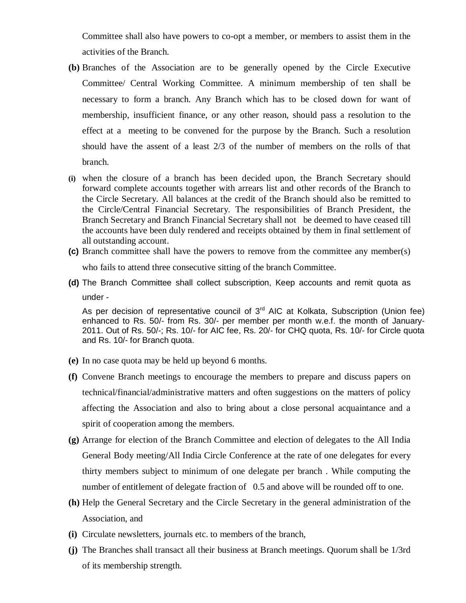Committee shall also have powers to co-opt a member, or members to assist them in the activities of the Branch.

- **(b)** Branches of the Association are to be generally opened by the Circle Executive Committee/ Central Working Committee. A minimum membership of ten shall be necessary to form a branch. Any Branch which has to be closed down for want of membership, insufficient finance, or any other reason, should pass a resolution to the effect at a meeting to be convened for the purpose by the Branch. Such a resolution should have the assent of a least 2/3 of the number of members on the rolls of that branch.
- **(i)** when the closure of a branch has been decided upon, the Branch Secretary should forward complete accounts together with arrears list and other records of the Branch to the Circle Secretary. All balances at the credit of the Branch should also be remitted to the Circle/Central Financial Secretary. The responsibilities of Branch President, the Branch Secretary and Branch Financial Secretary shall not be deemed to have ceased till the accounts have been duly rendered and receipts obtained by them in final settlement of all outstanding account.
- **(c)** Branch committee shall have the powers to remove from the committee any member(s) who fails to attend three consecutive sitting of the branch Committee.
- **(d)** The Branch Committee shall collect subscription, Keep accounts and remit quota as under -

As per decision of representative council of  $3<sup>rd</sup>$  AIC at Kolkata, Subscription (Union fee) enhanced to Rs. 50/- from Rs. 30/- per member per month w.e.f. the month of January-2011. Out of Rs. 50/-; Rs. 10/- for AIC fee, Rs. 20/- for CHQ quota, Rs. 10/- for Circle quota and Rs. 10/- for Branch quota.

- **(e)** In no case quota may be held up beyond 6 months.
- **(f)** Convene Branch meetings to encourage the members to prepare and discuss papers on technical/financial/administrative matters and often suggestions on the matters of policy affecting the Association and also to bring about a close personal acquaintance and a spirit of cooperation among the members.
- **(g)** Arrange for election of the Branch Committee and election of delegates to the All India General Body meeting/All India Circle Conference at the rate of one delegates for every thirty members subject to minimum of one delegate per branch . While computing the number of entitlement of delegate fraction of 0.5 and above will be rounded off to one.
- **(h)** Help the General Secretary and the Circle Secretary in the general administration of the Association, and
- **(i)** Circulate newsletters, journals etc. to members of the branch,
- **(j)** The Branches shall transact all their business at Branch meetings. Quorum shall be 1/3rd of its membership strength.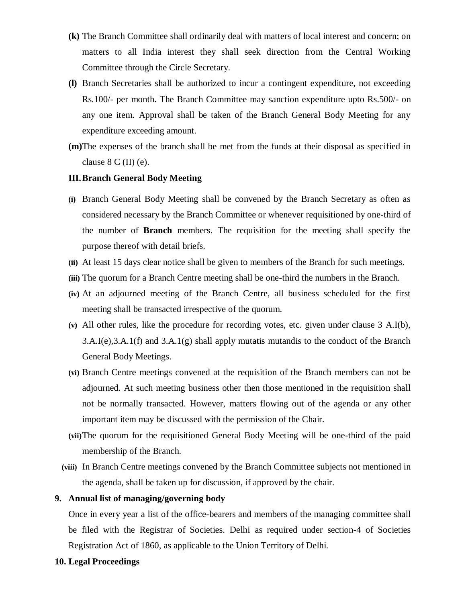- **(k)** The Branch Committee shall ordinarily deal with matters of local interest and concern; on matters to all India interest they shall seek direction from the Central Working Committee through the Circle Secretary.
- **(l)** Branch Secretaries shall be authorized to incur a contingent expenditure, not exceeding Rs.100/- per month. The Branch Committee may sanction expenditure upto Rs.500/- on any one item. Approval shall be taken of the Branch General Body Meeting for any expenditure exceeding amount.
- **(m)**The expenses of the branch shall be met from the funds at their disposal as specified in clause  $8 \text{ C (II)} (e)$ .

## **III.Branch General Body Meeting**

- **(i)** Branch General Body Meeting shall be convened by the Branch Secretary as often as considered necessary by the Branch Committee or whenever requisitioned by one-third of the number of **Branch** members. The requisition for the meeting shall specify the purpose thereof with detail briefs.
- **(ii)** At least 15 days clear notice shall be given to members of the Branch for such meetings.
- **(iii)** The quorum for a Branch Centre meeting shall be one-third the numbers in the Branch.
- **(iv)** At an adjourned meeting of the Branch Centre, all business scheduled for the first meeting shall be transacted irrespective of the quorum.
- **(v)** All other rules, like the procedure for recording votes, etc. given under clause 3 A.I(b), 3.A.I(e),3.A.1(f) and 3.A.1(g) shall apply mutatis mutandis to the conduct of the Branch General Body Meetings.
- **(vi)** Branch Centre meetings convened at the requisition of the Branch members can not be adjourned. At such meeting business other then those mentioned in the requisition shall not be normally transacted. However, matters flowing out of the agenda or any other important item may be discussed with the permission of the Chair.
- **(vii)**The quorum for the requisitioned General Body Meeting will be one-third of the paid membership of the Branch.
- **(viii)** In Branch Centre meetings convened by the Branch Committee subjects not mentioned in the agenda, shall be taken up for discussion, if approved by the chair.

#### **9. Annual list of managing/governing body**

Once in every year a list of the office-bearers and members of the managing committee shall be filed with the Registrar of Societies. Delhi as required under section-4 of Societies Registration Act of 1860, as applicable to the Union Territory of Delhi.

#### **10. Legal Proceedings**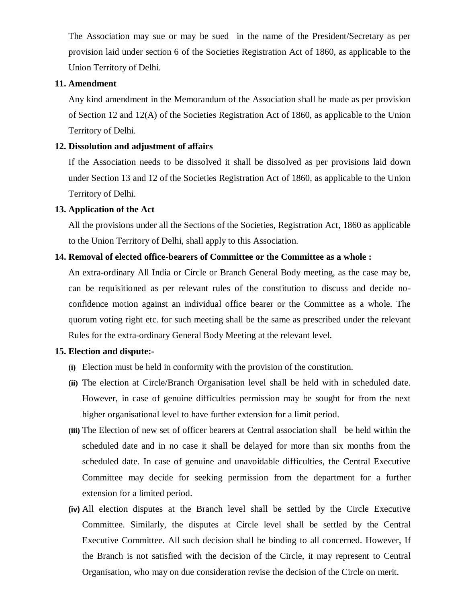The Association may sue or may be sued in the name of the President/Secretary as per provision laid under section 6 of the Societies Registration Act of 1860, as applicable to the Union Territory of Delhi.

#### **11. Amendment**

Any kind amendment in the Memorandum of the Association shall be made as per provision of Section 12 and 12(A) of the Societies Registration Act of 1860, as applicable to the Union Territory of Delhi.

#### **12. Dissolution and adjustment of affairs**

If the Association needs to be dissolved it shall be dissolved as per provisions laid down under Section 13 and 12 of the Societies Registration Act of 1860, as applicable to the Union Territory of Delhi.

#### **13. Application of the Act**

All the provisions under all the Sections of the Societies, Registration Act, 1860 as applicable to the Union Territory of Delhi, shall apply to this Association.

#### **14. Removal of elected office-bearers of Committee or the Committee as a whole :**

An extra-ordinary All India or Circle or Branch General Body meeting, as the case may be, can be requisitioned as per relevant rules of the constitution to discuss and decide noconfidence motion against an individual office bearer or the Committee as a whole. The quorum voting right etc. for such meeting shall be the same as prescribed under the relevant Rules for the extra-ordinary General Body Meeting at the relevant level.

### **15. Election and dispute:-**

- **(i)** Election must be held in conformity with the provision of the constitution.
- **(ii)** The election at Circle/Branch Organisation level shall be held with in scheduled date. However, in case of genuine difficulties permission may be sought for from the next higher organisational level to have further extension for a limit period.
- **(iii)** The Election of new set of officer bearers at Central association shallbe held within the scheduled date and in no case it shall be delayed for more than six months from the scheduled date. In case of genuine and unavoidable difficulties, the Central Executive Committee may decide for seeking permission from the department for a further extension for a limited period.
- **(iv)** All election disputes at the Branch level shall be settled by the Circle Executive Committee. Similarly, the disputes at Circle level shall be settled by the Central Executive Committee. All such decision shall be binding to all concerned. However, If the Branch is not satisfied with the decision of the Circle, it may represent to Central Organisation, who may on due consideration revise the decision of the Circle on merit.